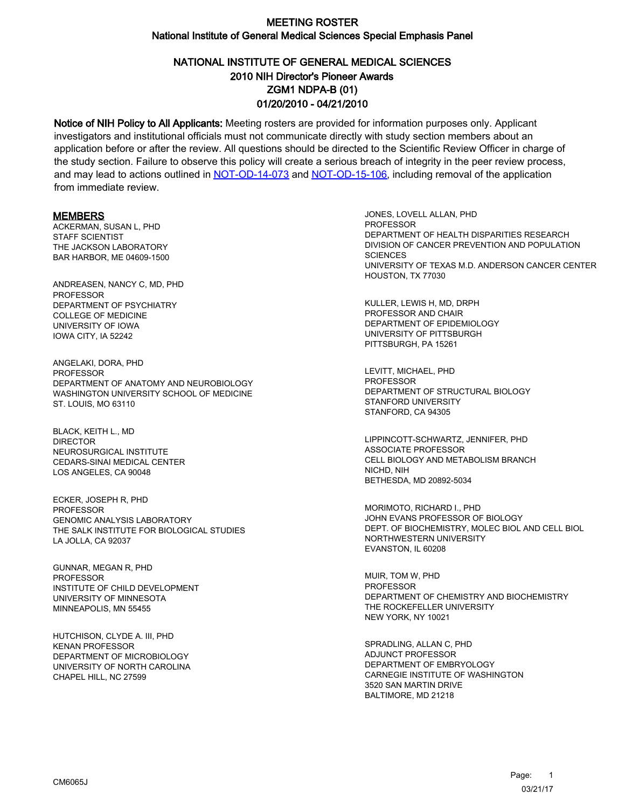# NATIONAL INSTITUTE OF GENERAL MEDICAL SCIENCES ZGM1 NDPA-B (01) 01/20/2010 - 04/21/2010 2010 NIH Director's Pioneer Awards

Notice of NIH Policy to All Applicants: Meeting rosters are provided for information purposes only. Applicant investigators and institutional officials must not communicate directly with study section members about an application before or after the review. All questions should be directed to the Scientific Review Officer in charge of the study section. Failure to observe this policy will create a serious breach of integrity in the peer review process, and may lead to actions outlined in [NOT-OD-14-073](https://grants.nih.gov/grants/guide/notice-files/NOT-OD-14-073.html) and [NOT-OD-15-106,](https://grants.nih.gov/grants/guide/notice-files/NOT-OD-15-106.html) including removal of the application from immediate review.

#### MEMBERS

ACKERMAN, SUSAN L, PHD STAFF SCIENTIST THE JACKSON LABORATORY BAR HARBOR, ME 04609-1500

ANDREASEN, NANCY C, MD, PHD **PROFESSOR** DEPARTMENT OF PSYCHIATRY COLLEGE OF MEDICINE UNIVERSITY OF IOWA IOWA CITY, IA 52242

ANGELAKI, DORA, PHD **PROFESSOR** DEPARTMENT OF ANATOMY AND NEUROBIOLOGY WASHINGTON UNIVERSITY SCHOOL OF MEDICINE ST. LOUIS, MO 63110

BLACK, KEITH L., MD DIRECTOR NEUROSURGICAL INSTITUTE CEDARS-SINAI MEDICAL CENTER LOS ANGELES, CA 90048

ECKER, JOSEPH R, PHD **PROFESSOR** GENOMIC ANALYSIS LABORATORY THE SALK INSTITUTE FOR BIOLOGICAL STUDIES LA JOLLA, CA 92037

GUNNAR, MEGAN R, PHD PROFESSOR INSTITUTE OF CHILD DEVELOPMENT UNIVERSITY OF MINNESOTA MINNEAPOLIS, MN 55455

HUTCHISON, CLYDE A. III, PHD KENAN PROFESSOR DEPARTMENT OF MICROBIOLOGY UNIVERSITY OF NORTH CAROLINA CHAPEL HILL, NC 27599

JONES, LOVELL ALLAN, PHD **PROFESSOR** DEPARTMENT OF HEALTH DISPARITIES RESEARCH DIVISION OF CANCER PREVENTION AND POPULATION **SCIENCES** UNIVERSITY OF TEXAS M.D. ANDERSON CANCER CENTER HOUSTON, TX 77030

KULLER, LEWIS H, MD, DRPH PROFESSOR AND CHAIR DEPARTMENT OF EPIDEMIOLOGY UNIVERSITY OF PITTSBURGH PITTSBURGH, PA 15261

LEVITT, MICHAEL, PHD **PROFESSOR** DEPARTMENT OF STRUCTURAL BIOLOGY STANFORD UNIVERSITY STANFORD, CA 94305

LIPPINCOTT-SCHWARTZ, JENNIFER, PHD ASSOCIATE PROFESSOR CELL BIOLOGY AND METABOLISM BRANCH NICHD, NIH BETHESDA, MD 20892-5034

MORIMOTO, RICHARD I., PHD JOHN EVANS PROFESSOR OF BIOLOGY DEPT. OF BIOCHEMISTRY, MOLEC BIOL AND CELL BIOL NORTHWESTERN UNIVERSITY EVANSTON, IL 60208

MUIR, TOM W, PHD PROFESSOR DEPARTMENT OF CHEMISTRY AND BIOCHEMISTRY THE ROCKEFELLER UNIVERSITY NEW YORK, NY 10021

SPRADLING, ALLAN C, PHD ADJUNCT PROFESSOR DEPARTMENT OF EMBRYOLOGY CARNEGIE INSTITUTE OF WASHINGTON 3520 SAN MARTIN DRIVE BALTIMORE, MD 21218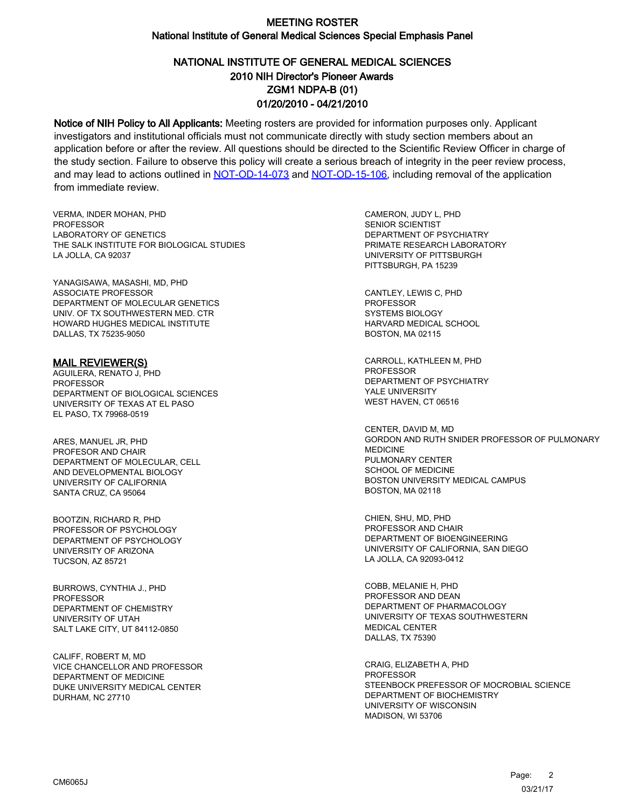# NATIONAL INSTITUTE OF GENERAL MEDICAL SCIENCES ZGM1 NDPA-B (01) 01/20/2010 - 04/21/2010 2010 NIH Director's Pioneer Awards

Notice of NIH Policy to All Applicants: Meeting rosters are provided for information purposes only. Applicant investigators and institutional officials must not communicate directly with study section members about an application before or after the review. All questions should be directed to the Scientific Review Officer in charge of the study section. Failure to observe this policy will create a serious breach of integrity in the peer review process, and may lead to actions outlined in [NOT-OD-14-073](https://grants.nih.gov/grants/guide/notice-files/NOT-OD-14-073.html) and [NOT-OD-15-106,](https://grants.nih.gov/grants/guide/notice-files/NOT-OD-15-106.html) including removal of the application from immediate review.

VERMA, INDER MOHAN, PHD **PROFESSOR** LABORATORY OF GENETICS THE SALK INSTITUTE FOR BIOLOGICAL STUDIES LA JOLLA, CA 92037

YANAGISAWA, MASASHI, MD, PHD ASSOCIATE PROFESSOR DEPARTMENT OF MOLECULAR GENETICS UNIV. OF TX SOUTHWESTERN MED. CTR HOWARD HUGHES MEDICAL INSTITUTE DALLAS, TX 75235-9050

#### MAIL REVIEWER(S)

AGUILERA, RENATO J, PHD **PROFESSOR** DEPARTMENT OF BIOLOGICAL SCIENCES UNIVERSITY OF TEXAS AT EL PASO EL PASO, TX 79968-0519

ARES, MANUEL JR, PHD PROFESOR AND CHAIR DEPARTMENT OF MOLECULAR, CELL AND DEVELOPMENTAL BIOLOGY UNIVERSITY OF CALIFORNIA SANTA CRUZ, CA 95064

BOOTZIN, RICHARD R, PHD PROFESSOR OF PSYCHOLOGY DEPARTMENT OF PSYCHOLOGY UNIVERSITY OF ARIZONA TUCSON, AZ 85721

BURROWS, CYNTHIA J., PHD PROFESSOR DEPARTMENT OF CHEMISTRY UNIVERSITY OF UTAH SALT LAKE CITY, UT 84112-0850

CALIFF, ROBERT M, MD VICE CHANCELLOR AND PROFESSOR DEPARTMENT OF MEDICINE DUKE UNIVERSITY MEDICAL CENTER DURHAM, NC 27710

CAMERON, JUDY L, PHD SENIOR SCIENTIST DEPARTMENT OF PSYCHIATRY PRIMATE RESEARCH LABORATORY UNIVERSITY OF PITTSBURGH PITTSBURGH, PA 15239

CANTLEY, LEWIS C, PHD PROFESSOR SYSTEMS BIOLOGY HARVARD MEDICAL SCHOOL BOSTON, MA 02115

CARROLL, KATHLEEN M, PHD PROFESSOR DEPARTMENT OF PSYCHIATRY YALE UNIVERSITY WEST HAVEN, CT 06516

CENTER, DAVID M, MD GORDON AND RUTH SNIDER PROFESSOR OF PULMONARY MEDICINE PULMONARY CENTER SCHOOL OF MEDICINE BOSTON UNIVERSITY MEDICAL CAMPUS BOSTON, MA 02118

CHIEN, SHU, MD, PHD PROFESSOR AND CHAIR DEPARTMENT OF BIOENGINEERING UNIVERSITY OF CALIFORNIA, SAN DIEGO LA JOLLA, CA 92093-0412

COBB, MELANIE H, PHD PROFESSOR AND DEAN DEPARTMENT OF PHARMACOLOGY UNIVERSITY OF TEXAS SOUTHWESTERN MEDICAL CENTER DALLAS, TX 75390

CRAIG, ELIZABETH A, PHD PROFESSOR STEENBOCK PREFESSOR OF MOCROBIAL SCIENCE DEPARTMENT OF BIOCHEMISTRY UNIVERSITY OF WISCONSIN MADISON, WI 53706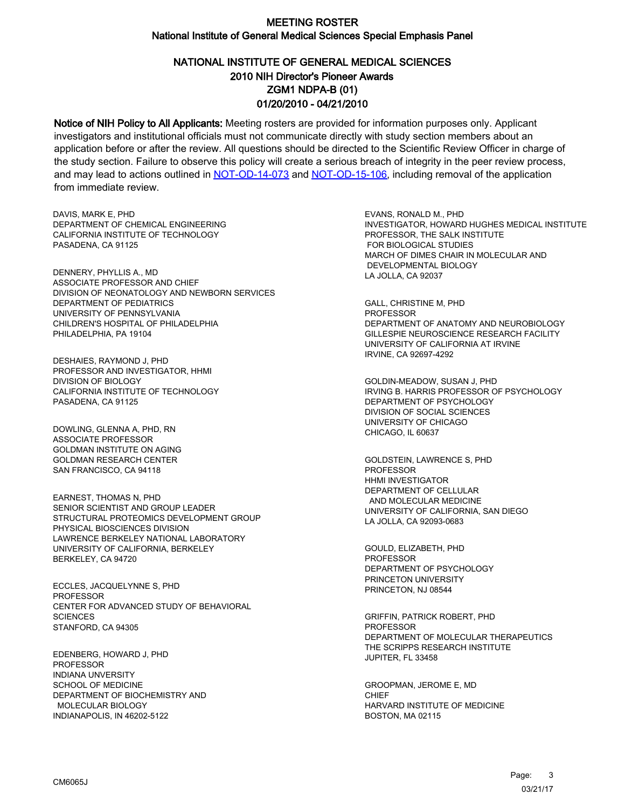# NATIONAL INSTITUTE OF GENERAL MEDICAL SCIENCES ZGM1 NDPA-B (01) 01/20/2010 - 04/21/2010 2010 NIH Director's Pioneer Awards

Notice of NIH Policy to All Applicants: Meeting rosters are provided for information purposes only. Applicant investigators and institutional officials must not communicate directly with study section members about an application before or after the review. All questions should be directed to the Scientific Review Officer in charge of the study section. Failure to observe this policy will create a serious breach of integrity in the peer review process, and may lead to actions outlined in [NOT-OD-14-073](https://grants.nih.gov/grants/guide/notice-files/NOT-OD-14-073.html) and [NOT-OD-15-106,](https://grants.nih.gov/grants/guide/notice-files/NOT-OD-15-106.html) including removal of the application from immediate review.

DAVIS, MARK E, PHD DEPARTMENT OF CHEMICAL ENGINEERING CALIFORNIA INSTITUTE OF TECHNOLOGY PASADENA, CA 91125

DENNERY, PHYLLIS A., MD ASSOCIATE PROFESSOR AND CHIEF DIVISION OF NEONATOLOGY AND NEWBORN SERVICES DEPARTMENT OF PEDIATRICS UNIVERSITY OF PENNSYLVANIA CHILDREN'S HOSPITAL OF PHILADELPHIA PHILADELPHIA, PA 19104

DESHAIES, RAYMOND J, PHD PROFESSOR AND INVESTIGATOR, HHMI DIVISION OF BIOLOGY CALIFORNIA INSTITUTE OF TECHNOLOGY PASADENA, CA 91125

DOWLING, GLENNA A, PHD, RN ASSOCIATE PROFESSOR GOLDMAN INSTITUTE ON AGING GOLDMAN RESEARCH CENTER SAN FRANCISCO, CA 94118

EARNEST, THOMAS N, PHD SENIOR SCIENTIST AND GROUP LEADER STRUCTURAL PROTEOMICS DEVELOPMENT GROUP PHYSICAL BIOSCIENCES DIVISION LAWRENCE BERKELEY NATIONAL LABORATORY UNIVERSITY OF CALIFORNIA, BERKELEY BERKELEY, CA 94720

ECCLES, JACQUELYNNE S, PHD **PROFESSOR** CENTER FOR ADVANCED STUDY OF BEHAVIORAL **SCIENCES** STANFORD, CA 94305

EDENBERG, HOWARD J, PHD PROFESSOR INDIANA UNVERSITY SCHOOL OF MEDICINE DEPARTMENT OF BIOCHEMISTRY AND MOLECULAR BIOLOGY INDIANAPOLIS, IN 46202-5122

EVANS, RONALD M., PHD INVESTIGATOR, HOWARD HUGHES MEDICAL INSTITUTE PROFESSOR, THE SALK INSTITUTE FOR BIOLOGICAL STUDIES MARCH OF DIMES CHAIR IN MOLECULAR AND DEVELOPMENTAL BIOLOGY LA JOLLA, CA 92037

GALL, CHRISTINE M, PHD PROFESSOR DEPARTMENT OF ANATOMY AND NEUROBIOLOGY GILLESPIE NEUROSCIENCE RESEARCH FACILITY UNIVERSITY OF CALIFORNIA AT IRVINE IRVINE, CA 92697-4292

GOLDIN-MEADOW, SUSAN J, PHD IRVING B. HARRIS PROFESSOR OF PSYCHOLOGY DEPARTMENT OF PSYCHOLOGY DIVISION OF SOCIAL SCIENCES UNIVERSITY OF CHICAGO CHICAGO, IL 60637

GOLDSTEIN, LAWRENCE S, PHD PROFESSOR HHMI INVESTIGATOR DEPARTMENT OF CELLULAR AND MOLECULAR MEDICINE UNIVERSITY OF CALIFORNIA, SAN DIEGO LA JOLLA, CA 92093-0683

GOULD, ELIZABETH, PHD PROFESSOR DEPARTMENT OF PSYCHOLOGY PRINCETON UNIVERSITY PRINCETON, NJ 08544

GRIFFIN, PATRICK ROBERT, PHD PROFESSOR DEPARTMENT OF MOLECULAR THERAPEUTICS THE SCRIPPS RESEARCH INSTITUTE JUPITER, FL 33458

GROOPMAN, JEROME E, MD **CHIEF** HARVARD INSTITUTE OF MEDICINE BOSTON, MA 02115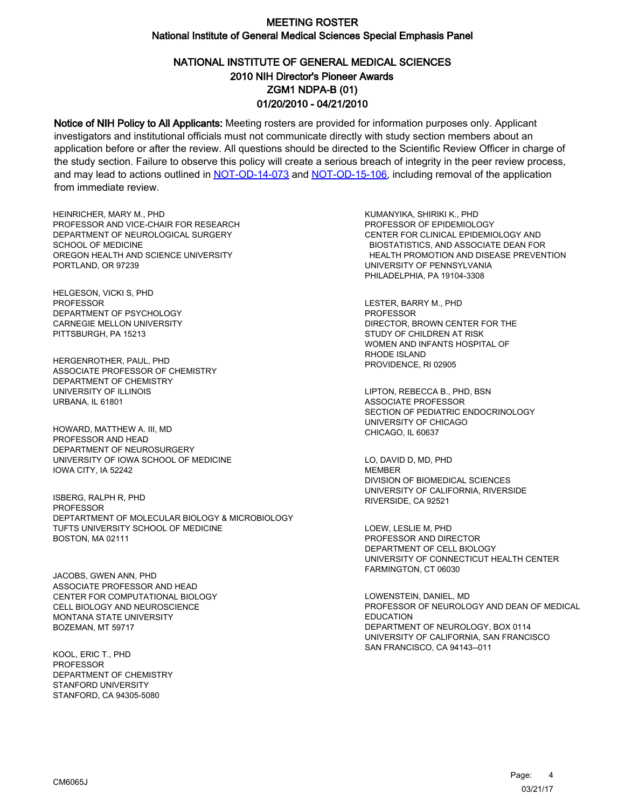# NATIONAL INSTITUTE OF GENERAL MEDICAL SCIENCES ZGM1 NDPA-B (01) 01/20/2010 - 04/21/2010 2010 NIH Director's Pioneer Awards

Notice of NIH Policy to All Applicants: Meeting rosters are provided for information purposes only. Applicant investigators and institutional officials must not communicate directly with study section members about an application before or after the review. All questions should be directed to the Scientific Review Officer in charge of the study section. Failure to observe this policy will create a serious breach of integrity in the peer review process, and may lead to actions outlined in [NOT-OD-14-073](https://grants.nih.gov/grants/guide/notice-files/NOT-OD-14-073.html) and [NOT-OD-15-106,](https://grants.nih.gov/grants/guide/notice-files/NOT-OD-15-106.html) including removal of the application from immediate review.

HEINRICHER, MARY M., PHD PROFESSOR AND VICE-CHAIR FOR RESEARCH DEPARTMENT OF NEUROLOGICAL SURGERY SCHOOL OF MEDICINE OREGON HEALTH AND SCIENCE UNIVERSITY PORTLAND, OR 97239

HELGESON, VICKI S, PHD PROFESSOR DEPARTMENT OF PSYCHOLOGY CARNEGIE MELLON UNIVERSITY PITTSBURGH, PA 15213

HERGENROTHER, PAUL, PHD ASSOCIATE PROFESSOR OF CHEMISTRY DEPARTMENT OF CHEMISTRY UNIVERSITY OF ILLINOIS URBANA, IL 61801

HOWARD, MATTHEW A. III, MD PROFESSOR AND HEAD DEPARTMENT OF NEUROSURGERY UNIVERSITY OF IOWA SCHOOL OF MEDICINE IOWA CITY, IA 52242

ISBERG, RALPH R, PHD PROFESSOR DEPTARTMENT OF MOLECULAR BIOLOGY & MICROBIOLOGY TUFTS UNIVERSITY SCHOOL OF MEDICINE BOSTON, MA 02111

JACOBS, GWEN ANN, PHD ASSOCIATE PROFESSOR AND HEAD CENTER FOR COMPUTATIONAL BIOLOGY CELL BIOLOGY AND NEUROSCIENCE MONTANA STATE UNIVERSITY BOZEMAN, MT 59717

KOOL, ERIC T., PHD **PROFESSOR** DEPARTMENT OF CHEMISTRY STANFORD UNIVERSITY STANFORD, CA 94305-5080

KUMANYIKA, SHIRIKI K., PHD PROFESSOR OF EPIDEMIOLOGY CENTER FOR CLINICAL EPIDEMIOLOGY AND BIOSTATISTICS, AND ASSOCIATE DEAN FOR HEALTH PROMOTION AND DISEASE PREVENTION UNIVERSITY OF PENNSYLVANIA PHILADELPHIA, PA 19104-3308

LESTER, BARRY M., PHD PROFESSOR DIRECTOR, BROWN CENTER FOR THE STUDY OF CHILDREN AT RISK WOMEN AND INFANTS HOSPITAL OF RHODE ISLAND PROVIDENCE, RI 02905

LIPTON, REBECCA B., PHD, BSN ASSOCIATE PROFESSOR SECTION OF PEDIATRIC ENDOCRINOLOGY UNIVERSITY OF CHICAGO CHICAGO, IL 60637

LO, DAVID D, MD, PHD **MEMBER** DIVISION OF BIOMEDICAL SCIENCES UNIVERSITY OF CALIFORNIA, RIVERSIDE RIVERSIDE, CA 92521

LOEW, LESLIE M, PHD PROFESSOR AND DIRECTOR DEPARTMENT OF CELL BIOLOGY UNIVERSITY OF CONNECTICUT HEALTH CENTER FARMINGTON, CT 06030

LOWENSTEIN, DANIEL, MD PROFESSOR OF NEUROLOGY AND DEAN OF MEDICAL EDUCATION DEPARTMENT OF NEUROLOGY, BOX 0114 UNIVERSITY OF CALIFORNIA, SAN FRANCISCO SAN FRANCISCO, CA 94143--011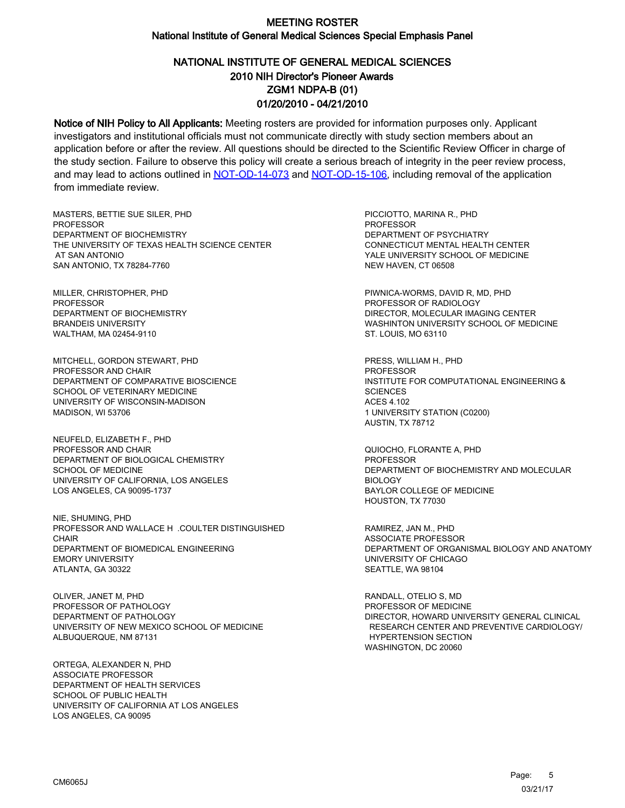# NATIONAL INSTITUTE OF GENERAL MEDICAL SCIENCES ZGM1 NDPA-B (01) 01/20/2010 - 04/21/2010 2010 NIH Director's Pioneer Awards

Notice of NIH Policy to All Applicants: Meeting rosters are provided for information purposes only. Applicant investigators and institutional officials must not communicate directly with study section members about an application before or after the review. All questions should be directed to the Scientific Review Officer in charge of the study section. Failure to observe this policy will create a serious breach of integrity in the peer review process, and may lead to actions outlined in [NOT-OD-14-073](https://grants.nih.gov/grants/guide/notice-files/NOT-OD-14-073.html) and [NOT-OD-15-106,](https://grants.nih.gov/grants/guide/notice-files/NOT-OD-15-106.html) including removal of the application from immediate review.

MASTERS, BETTIE SUE SILER, PHD **PROFESSOR** DEPARTMENT OF BIOCHEMISTRY THE UNIVERSITY OF TEXAS HEALTH SCIENCE CENTER AT SAN ANTONIO SAN ANTONIO, TX 78284-7760

MILLER, CHRISTOPHER, PHD PROFESSOR DEPARTMENT OF BIOCHEMISTRY BRANDEIS UNIVERSITY WALTHAM, MA 02454-9110

MITCHELL, GORDON STEWART, PHD PROFESSOR AND CHAIR DEPARTMENT OF COMPARATIVE BIOSCIENCE SCHOOL OF VETERINARY MEDICINE UNIVERSITY OF WISCONSIN-MADISON MADISON, WI 53706

NEUFELD, ELIZABETH F., PHD PROFESSOR AND CHAIR DEPARTMENT OF BIOLOGICAL CHEMISTRY SCHOOL OF MEDICINE UNIVERSITY OF CALIFORNIA, LOS ANGELES LOS ANGELES, CA 90095-1737

NIE, SHUMING, PHD PROFESSOR AND WALLACE H .COULTER DISTINGUISHED **CHAIR** DEPARTMENT OF BIOMEDICAL ENGINEERING EMORY UNIVERSITY ATLANTA, GA 30322

OLIVER, JANET M, PHD PROFESSOR OF PATHOLOGY DEPARTMENT OF PATHOLOGY UNIVERSITY OF NEW MEXICO SCHOOL OF MEDICINE ALBUQUERQUE, NM 87131

ORTEGA, ALEXANDER N, PHD ASSOCIATE PROFESSOR DEPARTMENT OF HEALTH SERVICES SCHOOL OF PUBLIC HEALTH UNIVERSITY OF CALIFORNIA AT LOS ANGELES LOS ANGELES, CA 90095

PICCIOTTO, MARINA R., PHD **PROFESSOR** DEPARTMENT OF PSYCHIATRY CONNECTICUT MENTAL HEALTH CENTER YALE UNIVERSITY SCHOOL OF MEDICINE NEW HAVEN, CT 06508

PIWNICA-WORMS, DAVID R, MD, PHD PROFESSOR OF RADIOLOGY DIRECTOR, MOLECULAR IMAGING CENTER WASHINTON UNIVERSITY SCHOOL OF MEDICINE ST. LOUIS, MO 63110

PRESS, WILLIAM H., PHD PROFESSOR INSTITUTE FOR COMPUTATIONAL ENGINEERING & **SCIENCES** ACES 4.102 1 UNIVERSITY STATION (C0200) AUSTIN, TX 78712

QUIOCHO, FLORANTE A, PHD PROFESSOR DEPARTMENT OF BIOCHEMISTRY AND MOLECULAR BIOLOGY BAYLOR COLLEGE OF MEDICINE HOUSTON, TX 77030

RAMIREZ, JAN M., PHD ASSOCIATE PROFESSOR DEPARTMENT OF ORGANISMAL BIOLOGY AND ANATOMY UNIVERSITY OF CHICAGO SEATTLE, WA 98104

RANDALL, OTELIO S, MD PROFESSOR OF MEDICINE DIRECTOR, HOWARD UNIVERSITY GENERAL CLINICAL RESEARCH CENTER AND PREVENTIVE CARDIOLOGY/ HYPERTENSION SECTION WASHINGTON, DC 20060